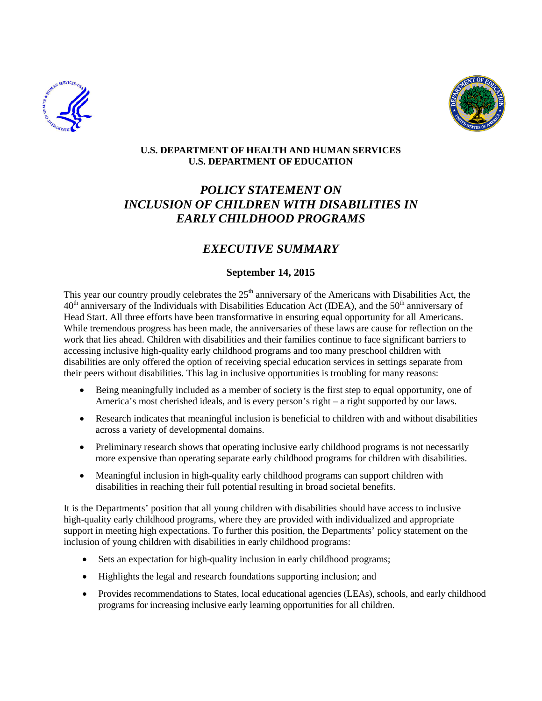



### **U.S. DEPARTMENT OF HEALTH AND HUMAN SERVICES U.S. DEPARTMENT OF EDUCATION**

# *POLICY STATEMENT ON INCLUSION OF CHILDREN WITH DISABILITIES IN EARLY CHILDHOOD PROGRAMS*

# *EXECUTIVE SUMMARY*

# **September 14, 2015**

This year our country proudly celebrates the  $25<sup>th</sup>$  anniversary of the Americans with Disabilities Act, the  $40<sup>th</sup>$  anniversary of the Individuals with Disabilities Education Act (IDEA), and the  $50<sup>th</sup>$  anniversary of Head Start. All three efforts have been transformative in ensuring equal opportunity for all Americans. While tremendous progress has been made, the anniversaries of these laws are cause for reflection on the work that lies ahead. Children with disabilities and their families continue to face significant barriers to accessing inclusive high-quality early childhood programs and too many preschool children with disabilities are only offered the option of receiving special education services in settings separate from their peers without disabilities. This lag in inclusive opportunities is troubling for many reasons:

- Being meaningfully included as a member of society is the first step to equal opportunity, one of America's most cherished ideals, and is every person's right – a right supported by our laws.
- Research indicates that meaningful inclusion is beneficial to children with and without disabilities across a variety of developmental domains.
- Preliminary research shows that operating inclusive early childhood programs is not necessarily more expensive than operating separate early childhood programs for children with disabilities.
- Meaningful inclusion in high-quality early childhood programs can support children with disabilities in reaching their full potential resulting in broad societal benefits.

It is the Departments' position that all young children with disabilities should have access to inclusive high-quality early childhood programs, where they are provided with individualized and appropriate support in meeting high expectations. To further this position, the Departments' policy statement on the inclusion of young children with disabilities in early childhood programs:

- Sets an expectation for high-quality inclusion in early childhood programs;
- Highlights the legal and research foundations supporting inclusion; and
- Provides recommendations to States, local educational agencies (LEAs), schools, and early childhood programs for increasing inclusive early learning opportunities for all children.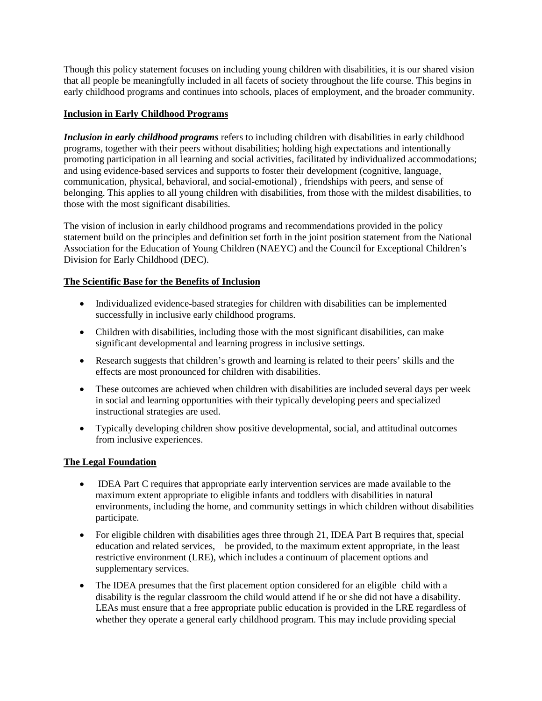Though this policy statement focuses on including young children with disabilities, it is our shared vision that all people be meaningfully included in all facets of society throughout the life course. This begins in early childhood programs and continues into schools, places of employment, and the broader community.

## **Inclusion in Early Childhood Programs**

*Inclusion in early childhood programs* refers to including children with disabilities in early childhood programs, together with their peers without disabilities; holding high expectations and intentionally promoting participation in all learning and social activities, facilitated by individualized accommodations; and using evidence-based services and supports to foster their development (cognitive, language, communication, physical, behavioral, and social-emotional) , friendships with peers, and sense of belonging. This applies to all young children with disabilities, from those with the mildest disabilities, to those with the most significant disabilities.

The vision of inclusion in early childhood programs and recommendations provided in the policy statement build on the principles and definition set forth in the joint position statement from the National Association for the Education of Young Children (NAEYC) and the Council for Exceptional Children's Division for Early Childhood (DEC).

### **The Scientific Base for the Benefits of Inclusion**

- Individualized evidence-based strategies for children with disabilities can be implemented successfully in inclusive early childhood programs.
- Children with disabilities, including those with the most significant disabilities, can make significant developmental and learning progress in inclusive settings.
- Research suggests that children's growth and learning is related to their peers' skills and the effects are most pronounced for children with disabilities.
- These outcomes are achieved when children with disabilities are included several days per week in social and learning opportunities with their typically developing peers and specialized instructional strategies are used.
- Typically developing children show positive developmental, social, and attitudinal outcomes from inclusive experiences.

#### **The Legal Foundation**

- IDEA Part C requires that appropriate early intervention services are made available to the maximum extent appropriate to eligible infants and toddlers with disabilities in natural environments, including the home, and community settings in which children without disabilities participate.
- For eligible children with disabilities ages three through 21, IDEA Part B requires that, special education and related services, be provided, to the maximum extent appropriate, in the least restrictive environment (LRE), which includes a continuum of placement options and supplementary services.
- The IDEA presumes that the first placement option considered for an eligible child with a disability is the regular classroom the child would attend if he or she did not have a disability. LEAs must ensure that a free appropriate public education is provided in the LRE regardless of whether they operate a general early childhood program. This may include providing special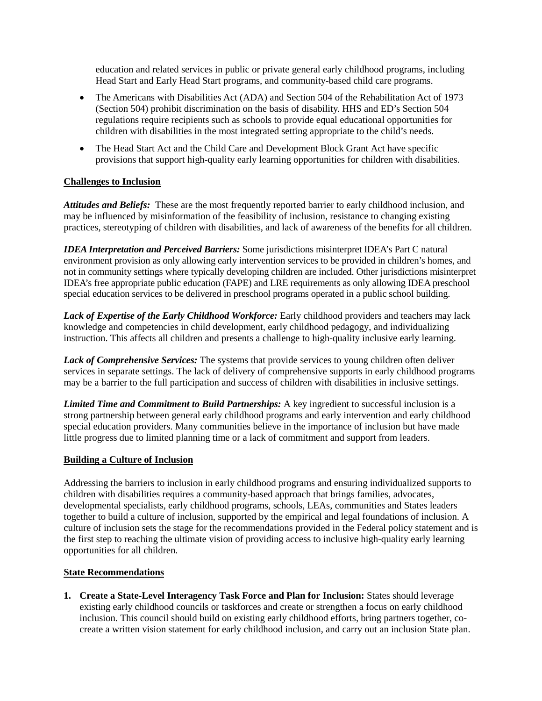education and related services in public or private general early childhood programs, including Head Start and Early Head Start programs, and community-based child care programs.

- The Americans with Disabilities Act (ADA) and Section 504 of the Rehabilitation Act of 1973 (Section 504) prohibit discrimination on the basis of disability. HHS and ED's Section 504 regulations require recipients such as schools to provide equal educational opportunities for children with disabilities in the most integrated setting appropriate to the child's needs.
- The Head Start Act and the Child Care and Development Block Grant Act have specific provisions that support high-quality early learning opportunities for children with disabilities.

# **Challenges to Inclusion**

*Attitudes and Beliefs:* These are the most frequently reported barrier to early childhood inclusion, and may be influenced by misinformation of the feasibility of inclusion, resistance to changing existing practices, stereotyping of children with disabilities, and lack of awareness of the benefits for all children.

*IDEA Interpretation and Perceived Barriers:* Some jurisdictions misinterpret IDEA's Part C natural environment provision as only allowing early intervention services to be provided in children's homes, and not in community settings where typically developing children are included. Other jurisdictions misinterpret IDEA's free appropriate public education (FAPE) and LRE requirements as only allowing IDEA preschool special education services to be delivered in preschool programs operated in a public school building.

Lack of Expertise of the Early Childhood Workforce: Early childhood providers and teachers may lack knowledge and competencies in child development, early childhood pedagogy, and individualizing instruction. This affects all children and presents a challenge to high-quality inclusive early learning.

*Lack of Comprehensive Services:* The systems that provide services to young children often deliver services in separate settings. The lack of delivery of comprehensive supports in early childhood programs may be a barrier to the full participation and success of children with disabilities in inclusive settings.

*Limited Time and Commitment to Build Partnerships:* A key ingredient to successful inclusion is a strong partnership between general early childhood programs and early intervention and early childhood special education providers. Many communities believe in the importance of inclusion but have made little progress due to limited planning time or a lack of commitment and support from leaders.

#### **Building a Culture of Inclusion**

Addressing the barriers to inclusion in early childhood programs and ensuring individualized supports to children with disabilities requires a community-based approach that brings families, advocates, developmental specialists, early childhood programs, schools, LEAs, communities and States leaders together to build a culture of inclusion, supported by the empirical and legal foundations of inclusion. A culture of inclusion sets the stage for the recommendations provided in the Federal policy statement and is the first step to reaching the ultimate vision of providing access to inclusive high-quality early learning opportunities for all children.

#### **State Recommendations**

**1. Create a State-Level Interagency Task Force and Plan for Inclusion:** States should leverage existing early childhood councils or taskforces and create or strengthen a focus on early childhood inclusion. This council should build on existing early childhood efforts, bring partners together, cocreate a written vision statement for early childhood inclusion, and carry out an inclusion State plan.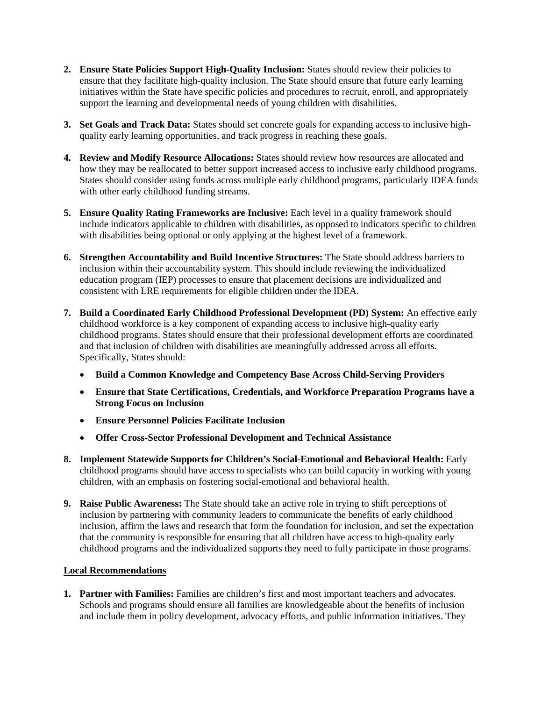- **2. Ensure State Policies Support High-Quality Inclusion:** States should review their policies to ensure that they facilitate high-quality inclusion. The State should ensure that future early learning initiatives within the State have specific policies and procedures to recruit, enroll, and appropriately support the learning and developmental needs of young children with disabilities.
- **3. Set Goals and Track Data:** States should set concrete goals for expanding access to inclusive highquality early learning opportunities, and track progress in reaching these goals.
- **4. Review and Modify Resource Allocations:** States should review how resources are allocated and how they may be reallocated to better support increased access to inclusive early childhood programs. States should consider using funds across multiple early childhood programs, particularly IDEA funds with other early childhood funding streams.
- **5. Ensure Quality Rating Frameworks are Inclusive:** Each level in a quality framework should include indicators applicable to children with disabilities, as opposed to indicators specific to children with disabilities being optional or only applying at the highest level of a framework.
- **6. Strengthen Accountability and Build Incentive Structures:** The State should address barriers to inclusion within their accountability system. This should include reviewing the individualized education program (IEP) processes to ensure that placement decisions are individualized and consistent with LRE requirements for eligible children under the IDEA.
- **7. Build a Coordinated Early Childhood Professional Development (PD) System:** An effective early childhood workforce is a key component of expanding access to inclusive high-quality early childhood programs. States should ensure that their professional development efforts are coordinated and that inclusion of children with disabilities are meaningfully addressed across all efforts. Specifically, States should:
	- **Build a Common Knowledge and Competency Base Across Child-Serving Providers**
	- **Ensure that State Certifications, Credentials, and Workforce Preparation Programs have a Strong Focus on Inclusion**
	- **Ensure Personnel Policies Facilitate Inclusion**
	- **Offer Cross-Sector Professional Development and Technical Assistance**
- **8. Implement Statewide Supports for Children's Social-Emotional and Behavioral Health:** Early childhood programs should have access to specialists who can build capacity in working with young children, with an emphasis on fostering social-emotional and behavioral health.
- **9. Raise Public Awareness:** The State should take an active role in trying to shift perceptions of inclusion by partnering with community leaders to communicate the benefits of early childhood inclusion, affirm the laws and research that form the foundation for inclusion, and set the expectation that the community is responsible for ensuring that all children have access to high-quality early childhood programs and the individualized supports they need to fully participate in those programs.

#### **Local Recommendations**

**1. Partner with Families:** Families are children's first and most important teachers and advocates. Schools and programs should ensure all families are knowledgeable about the benefits of inclusion and include them in policy development, advocacy efforts, and public information initiatives. They